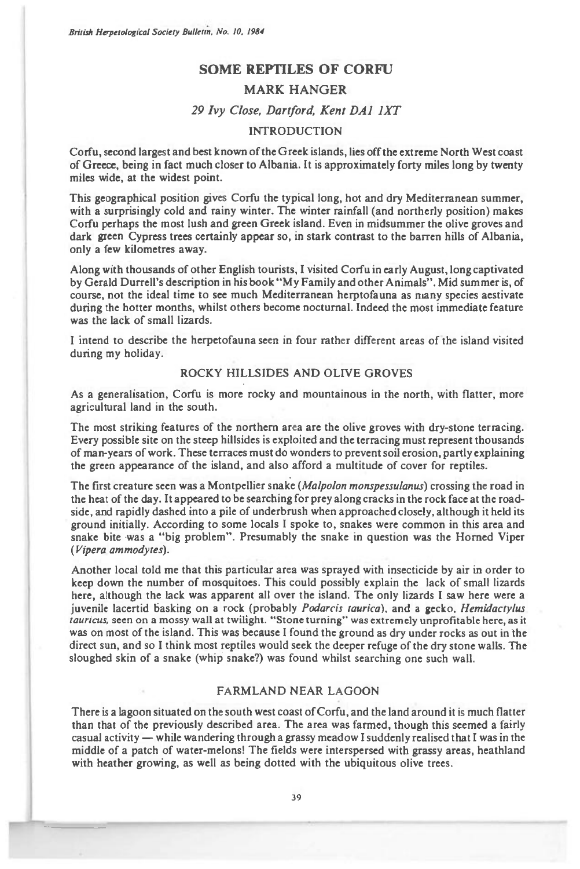**British Herpetological Society Bulletin, No. 10, 1984** 

# **SOME REPTILES OF CORFU**

### **MARK HANGER**

# *29 Ivy Close, Dartford, Kent DA1 1XT*

#### **INTRODUCTION**

**Corfu, second largest and best known of the Greek islands, lies off the extreme North West coast of Greece, being in fact much closer to Albania. It is approximately forty miles long by twenty miles wide, at the widest point.** 

**This geographical position gives Corfu the typical long, hot and dry Mediterranean summer, with a surprisingly cold and rainy winter. The winter rainfall (and northerly position) makes Corfu perhaps the most lush and green Greek island. Even in midsummer the olive groves and dark green Cypress trees certainly appear so, in stark contrast to the barren hills of Albania, only a few kilometres away.** 

**Along with thousands of other English tourists, I visited Corfu in early August, long captivated by Gerald Durrell's description in his book "My Family and other Animals". Mid summer is, of course, not the ideal time to see much Mediterranean herptofauna as many species aestivate during the hotter months, whilst others become nocturnal. Indeed the most immediate feature was the lack of small lizards.** 

**I intend to describe the herpetofauna seen in four rather different areas of the island visited during my holiday.** 

# **ROCKY HILLSIDES AND OLIVE GROVES**

**As a generalisation, Corfu is more rocky and mountainous in the north, with flatter, more agricultural land in the south.** 

**The most striking features of the northern area are the olive groves with dry-stone terracing. Every possible site on the steep hillsides is exploited and the terracing must represent thousands of man-years of work. These terraces must do wonders to prevent soil erosion, partly explaining the green appearance of the island, and also afford a multitude of cover for reptiles.** 

**The first creature seen was a Montpellier snake** *(Malpolon monspessulanus)* **crossing the road in the heat of the day. It appeared to be searching for prey along cracks in the rock face at the roadside, and rapidly dashed into a pile of underbrush when approached closely, although it held its ground initially. According to some locals I spoke to, snakes were common in this area and snake bite was a "big problem". Presumably the snake in question was the Horned Viper**  *(Vipera ammodytes).* 

**Another local told me that this particular area was sprayed with insecticide by air in order to keep down the number of mosquitoes. This could possibly explain the lack of small lizards here, although the lack was apparent all over the island. The only lizards I saw here were a juvenile lacertid basking on a rock (probably** *Podarcis taurica),* **and a gecko.** *Hemidactylus tauricus,* **seen on a mossy wall at twilight. "Stone turning" was extremely unprofitable here, as it was on most of the island. This was because I found the ground as dry under rocks as out in'the direct sun, and so I think most reptiles would seek the deeper refuge of the dry stone walls. The sloughed skin of a snake (whip snake?) was found whilst searching one such wall.** 

## **FARMLAND NEAR LAGOON**

**There is a lagoon situated on the south west coast of Corfu, and the land around it is much flatter than that of the previously described area. The area was farmed, though this seemed a fairly casual activity — while wandering through a grassy meadow I suddenly realised that I was in the middle of a patch of water-melons! The fields were interspersed with grassy areas, heathland with heather growing, as well as being dotted with the ubiquitous olive trees.**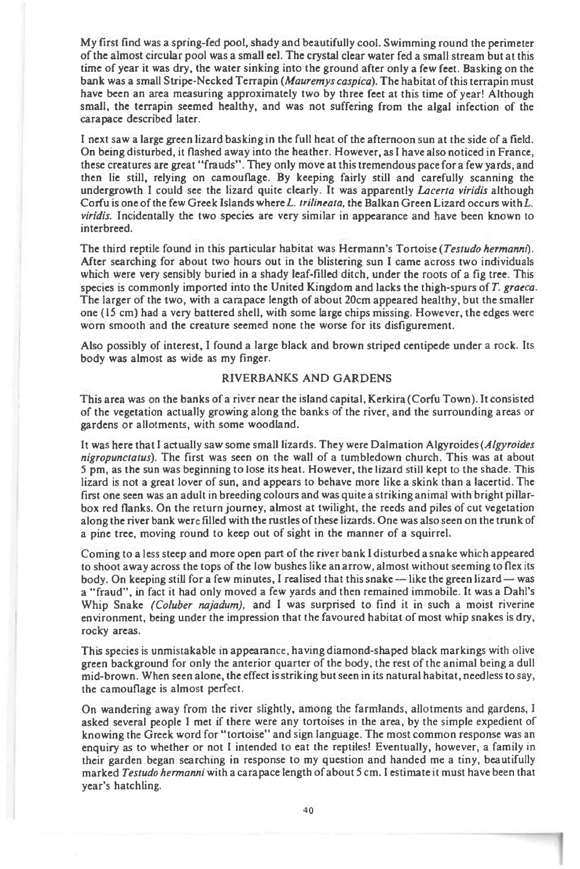My first find was a spring-fed pool, shady and beautifully cool. Swimming round the perimeter of the almost circular pool was a small eel. The crystal clear water fed a small stream but at this time of year it was dry, the water sinking into the ground after only a few feet. Basking on the bank was a small Stripe-Necked Terrapin *(Mauremys caspica).* The habitat of this terrapin must have been an area measuring approximately two by three feet at this time of year! Although small, the terrapin seemed healthy, and was not suffering from the algal infection of the carapace described later.

I next saw a large green lizard basking in the full heat of the afternoon sun at the side of a field. On being disturbed, it flashed away into the heather. However, as I have also noticed in France, these creatures are great "frauds". They only move at this tremendous pace fora few yards, and then lie still, relying on camouflage. By keeping fairly still and carefully scanning the undergrowth I could see the lizard quite clearly. It was apparently *Lacerta viridis* although Corfu is one of the few Greek Islands where *L. trilineata,* the Balkan Green Lizard occurs with *L. viridis.* Incidentally the two species are very similar in appearance and have been known to interbreed.

The third reptile found in this particular habitat was Hermann's Tortoise *(Testudo hermanm).*  After searching for about two hours out in the blistering sun I came across two individuals which were very sensibly buried in a shady leaf-filled ditch, under the roots of a fig tree. This species is commonly imported into the United Kingdom and lacks the thigh-spurs of *T. graeca.*  The larger of the two, with a carapace length of about 20cm appeared healthy, but the smaller one (15 cm) had a very battered shell, with some large chips missing. However, the edges were worn smooth and the creature seemed none the worse for its disfigurement.

Also possibly of interest, I found a large black and brown striped centipede under a rock. Its body was almost as wide as my finger.

## RIVERBANKS AND GARDENS

This area was on the banks of a river near the island capital, Kerkira (Corfu Town). It consisted of the vegetation actually growing along the banks of the river, and the surrounding areas or gardens or allotments, with some woodland.

It was here that I actually saw some small lizards. They were Dalmation Algyroides *(Algyroides nigropunciatus).* The first was seen on the wall of a tumbledown church. This was at about 5 pm, as the sun was beginning to lose its heat. However, the lizard still kept to the shade. This lizard is not a great lover of sun, and appears to behave more like a skink than a lacertid. The first one seen was an adult in breeding colours and was quite a striking animal with bright pillarbox red flanks. On the return journey, almost at twilight, the reeds and piles of cut vegetation along the river bank were filled with the rustles of these lizards. One was also seen on the trunk of a pine tree, moving round to keep out of sight in the manner of a squirrel.

Coming to a less steep and more open part of the river bank I disturbed a snake which appeared to shoot away across the tops of the low bushes like an arrow, almost without seeming to flex its body. On keeping still for a few minutes, I realised that this snake — like the green lizard — was a "fraud", in fact it had only moved a few yards and then remained immobile. It was a Dahl's Whip Snake *(Coluber najadum),* and I was surprised to find it in such a moist riverine environment, being under the impression that the favoured habitat of most whip snakes is dry, rocky areas.

This species is unmistakable in appearance, having diamond-shaped black markings with olive green background for only the anterior quarter of the body, the rest of the animal being a dull mid-brown. When seen alone, the effect is striking but seen in its natural habitat, needless to say, the camouflage is almost perfect.

On wandering away from the river slightly, among the farmlands, allotments and gardens, I asked several people I met if there were any tortoises in the area, by the simple expedient of knowing the Greek word for "tortoise" and sign language. The most common response was an enquiry as to whether or not I intended to eat the reptiles! Eventually, however, a family in their garden began searching in response to my question and handed me a tiny, beautifully marked *Testudo hermanni with* a carapace length of about 5 cm. I estimate it must have been that year's hatchling.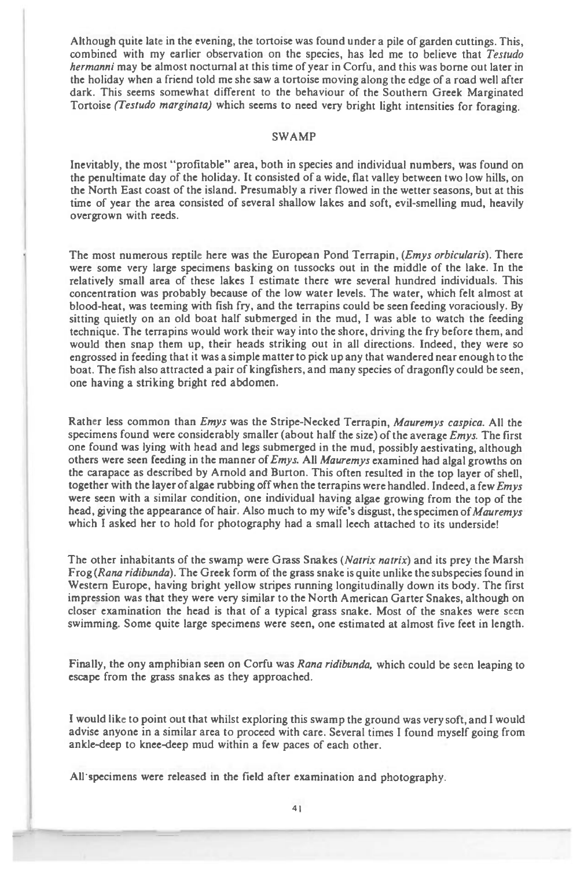Although quite late in the evening, the tortoise was found under a pile of garden cuttings. This, combined with my earlier observation on the species, has led me to believe that *Testudo hermanni* may be almost nocturnal at this time of year in Corfu, and this was borne out later in the holiday when a friend told me she saw a tortoise moving along the edge of a road well after dark. This seems somewhat different to the behaviour of the Southern Greek Marginated Tortoise *(Testudo marginata)* which seems to need very bright light intensities for foraging.

### SWAMP

Inevitably, the most "profitable" area, both in species and individual numbers, was found on the penultimate day of the holiday. It consisted of a wide, flat valley between two low hills, on the North East coast of the island. Presumably a river flowed in the wetter seasons, but at this time of year the area consisted of several shallow lakes and soft, evil-smelling mud, heavily overgrown with reeds.

The most numerous reptile here was the European Pond Terrapin, *(Emys orbicularis).* There were some very large specimens basking on tussocks out in the middle of the lake. In the relatively small area of these lakes I estimate there wre several hundred individuals. This concentration was probably because of the low water levels. The water, which felt almost at blood-heat, was teeming with fish fry, and the terrapins could be seen feeding voraciously. By sitting quietly on an old boat half submerged in the mud, I was able to watch the feeding technique. The terrapins would work their way into the shore, driving the fry before them, and would then snap them up, their heads striking out in all directions. Indeed, they were so engrossed in feeding that it was a simple matter to pick up any that wandered near enough to the boat. The fish also attracted a pair of kingfishers, and many species of dragonfly could be seen, one having a striking bright red abdomen.

Rather less common than *Emys* was the Stripe-Necked Terrapin, *Mauremys caspica.* All the specimens found were considerably smaller (about half the size) of the average *Emys.* The first one found was lying with head and legs submerged in the mud, possibly aestivating, although others were seen feeding in the manner of *Emys.* All *Mauremys* examined had algal growths on the carapace as described by Arnold and Burton. This often resulted in the top layer of shell, together with the layer of algae rubbing off when the terrapins were handled. Indeed, a few *Emys*  were seen with a similar condition, one individual having algae growing from the top of the head, giving the appearance of hair. Also much to my wife's disgust, the specimen of *Mauremys*  which I asked her to hold for photography had a small leech attached to its underside!

The other inhabitants of the swamp were Grass Snakes *(Natrix natrix)* and its prey the Marsh Frog *(Rana ridibunda).* The Greek form of the grass snake is quite unlike the subspecies found in Western Europe, having bright yellow stripes running longitudinally down its body. The first impression was that they were very similar to the North American Garter Snakes, although on closer examination the head is that of a typical grass snake. Most of the snakes were seen swimming. Some quite large specimens were seen, one estimated at almost five feet in length.

Finally, the ony amphibian seen on Corfu was *Rana ridibunda,* which could be seen leaping to escape from the grass snakes as they approached.

I would like to point out that whilst exploring this swamp the ground was very soft, and I would advise anyone in a similar area to proceed with care. Several times I found myself going from ankle-deep to knee-deep mud within a few paces of each other.

All'specimens were released in the field after examination and photography.